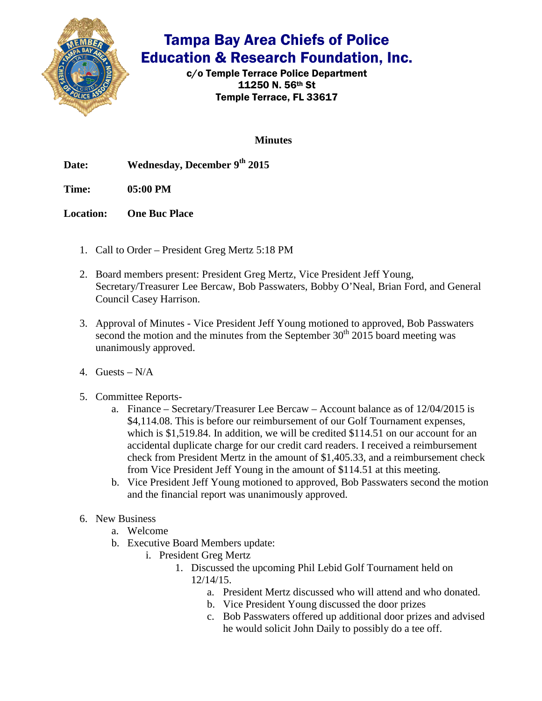

## Tampa Bay Area Chiefs of Police Education & Research Foundation, Inc.

c/o Temple Terrace Police Department 11250 N. 56th St Temple Terrace, FL 33617

**Minutes**

Date: Wednesday, December 9<sup>th</sup> 2015

**Time: 05:00 PM**

**Location: One Buc Place**

- 1. Call to Order President Greg Mertz 5:18 PM
- 2. Board members present: President Greg Mertz, Vice President Jeff Young, Secretary/Treasurer Lee Bercaw, Bob Passwaters, Bobby O'Neal, Brian Ford, and General Council Casey Harrison.
- 3. Approval of Minutes Vice President Jeff Young motioned to approved, Bob Passwaters second the motion and the minutes from the September  $30<sup>th</sup>$  2015 board meeting was unanimously approved.
- 4. Guests  $N/A$
- 5. Committee Reports
	- a. Finance Secretary/Treasurer Lee Bercaw Account balance as of 12/04/2015 is \$4,114.08. This is before our reimbursement of our Golf Tournament expenses, which is \$1,519.84. In addition, we will be credited \$114.51 on our account for an accidental duplicate charge for our credit card readers. I received a reimbursement check from President Mertz in the amount of \$1,405.33, and a reimbursement check from Vice President Jeff Young in the amount of \$114.51 at this meeting.
	- b. Vice President Jeff Young motioned to approved, Bob Passwaters second the motion and the financial report was unanimously approved.
- 6. New Business
	- a. Welcome
	- b. Executive Board Members update:
		- i. President Greg Mertz
			- 1. Discussed the upcoming Phil Lebid Golf Tournament held on 12/14/15.
				- a. President Mertz discussed who will attend and who donated.
				- b. Vice President Young discussed the door prizes
				- c. Bob Passwaters offered up additional door prizes and advised he would solicit John Daily to possibly do a tee off.